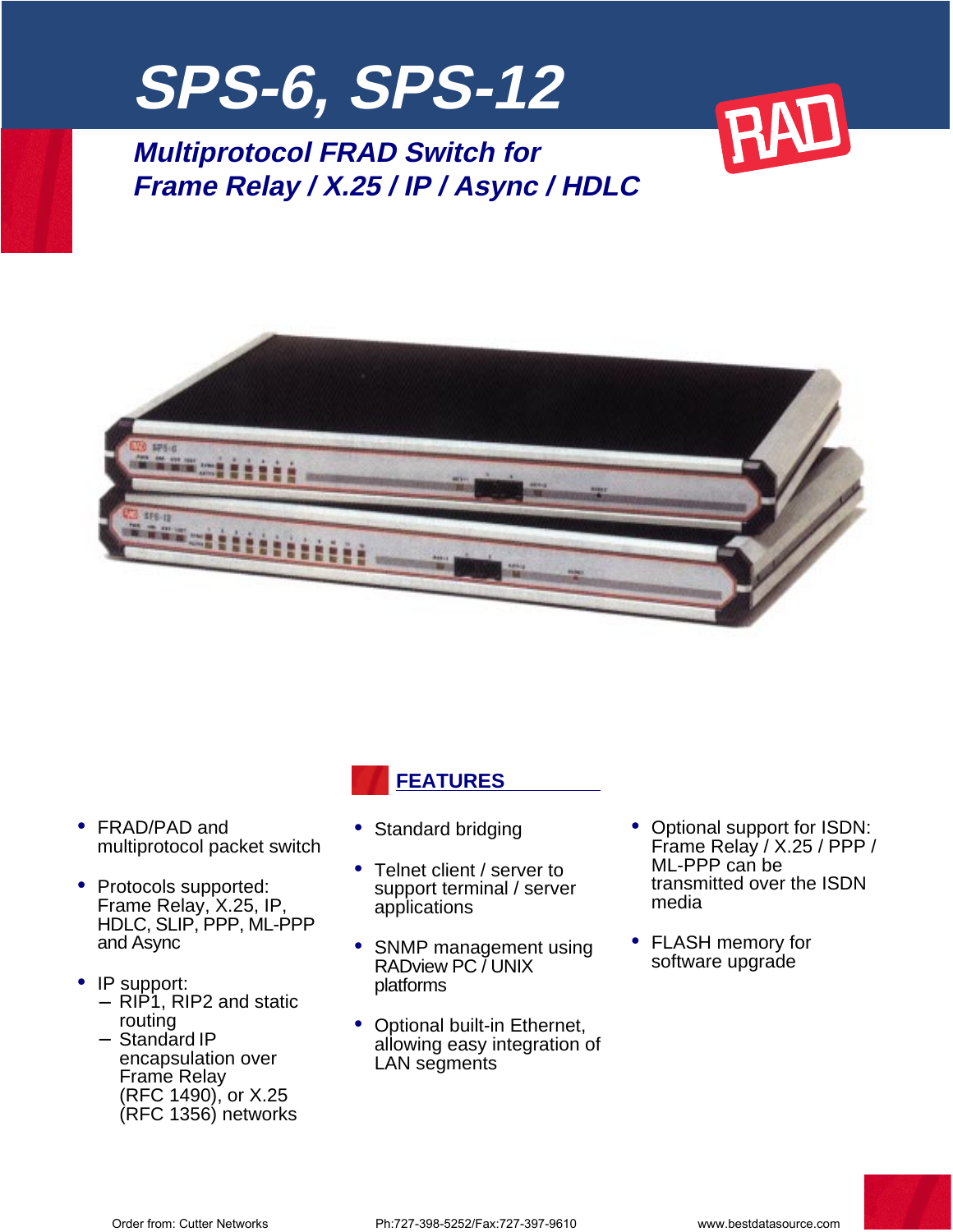

**Multiprotocol FRAD Switch for Frame Relay / X.25 / IP / Async / HDLC**





- FRAD/PAD and multiprotocol packet switch
- Protocols supported: Frame Relay, X.25, IP, HDLC, SLIP, PPP, ML-PPP and Async
- IP support:
	- − RIP1, RIP2 and static routing
	- − Standard IP encapsulation over Frame Relay (RFC 1490), or X.25 (RFC 1356) networks

# **FEATURES**

- Standard bridging
- Telnet client / server to support terminal / server applications
- SNMP management using RADview PC / UNIX platforms
- Optional built-in Ethernet, allowing easy integration of LAN segments
- Optional support for ISDN: Frame Relay / X.25 / PPP / ML-PPP can be transmitted over the ISDN media
- FLASH memory for software upgrade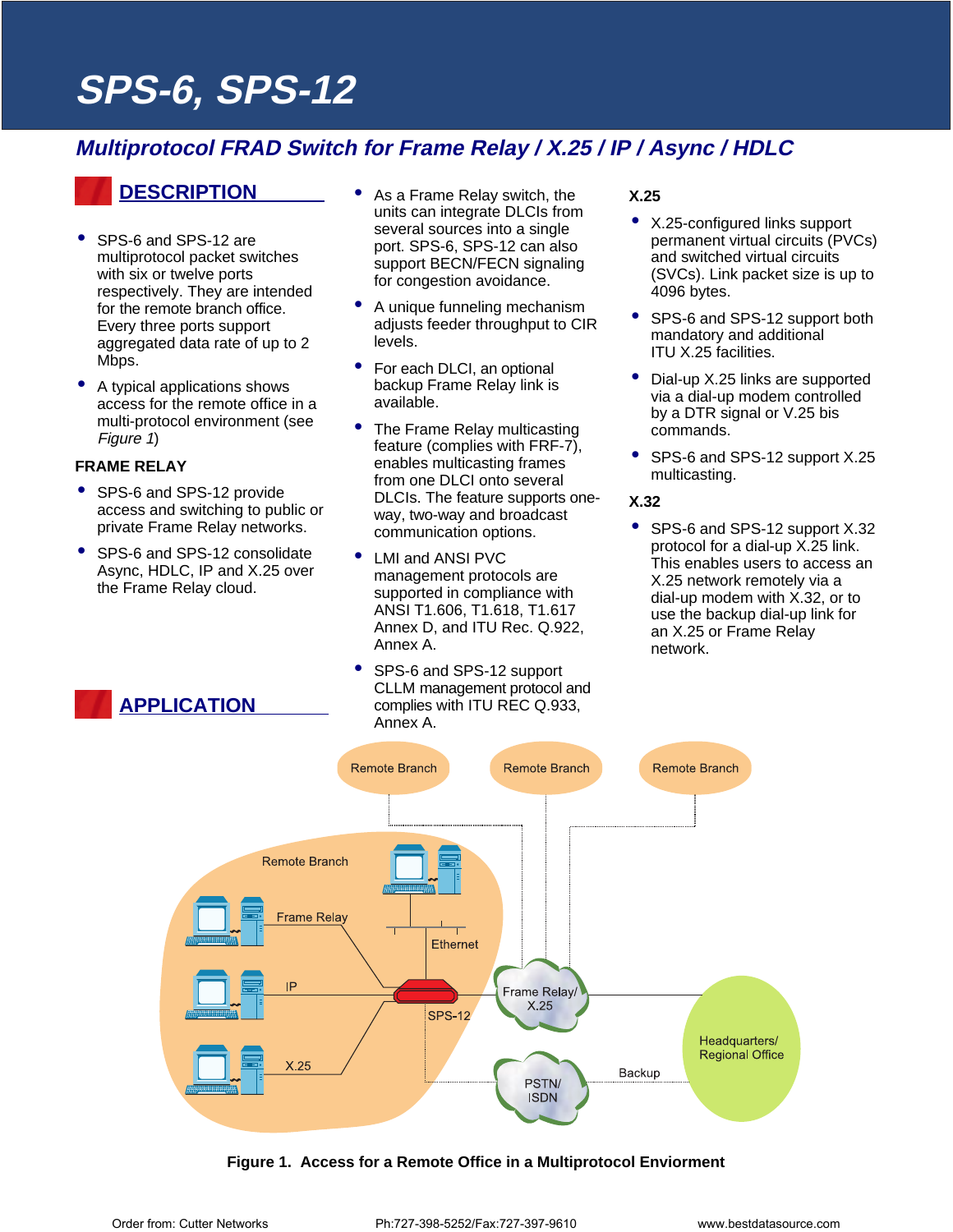# **SPS-6, SPS-12**

## **Multiprotocol FRAD Switch for Frame Relay / X.25 / IP / Async / HDLC**

### **DESCRIPTION**

- SPS-6 and SPS-12 are multiprotocol packet switches with six or twelve ports respectively. They are intended for the remote branch office. Every three ports support aggregated data rate of up to 2 Mbps.
- A typical applications shows access for the remote office in a multi-protocol environment (see Figure 1)

#### **FRAME RELAY**

- SPS-6 and SPS-12 provide access and switching to public or private Frame Relay networks.
- SPS-6 and SPS-12 consolidate Async, HDLC, IP and X.25 over the Frame Relay cloud.

**APPLICATION** 

- As a Frame Relay switch, the units can integrate DLCIs from several sources into a single port. SPS-6, SPS-12 can also support BECN/FECN signaling for congestion avoidance.
- A unique funneling mechanism adjusts feeder throughput to CIR levels.
- For each DLCI, an optional backup Frame Relay link is available.
- The Frame Relay multicasting feature (complies with FRF-7), enables multicasting frames from one DLCI onto several DLCIs. The feature supports oneway, two-way and broadcast communication options.
- LMI and ANSI PVC management protocols are supported in compliance with ANSI T1.606, T1.618, T1.617 Annex D, and ITU Rec. Q.922, Annex A.
- SPS-6 and SPS-12 support CLLM management protocol and complies with ITU REC Q.933, Annex A.

#### **X.25**

- X.25-configured links support permanent virtual circuits (PVCs) and switched virtual circuits (SVCs). Link packet size is up to 4096 bytes.
- SPS-6 and SPS-12 support both mandatory and additional ITU X.25 facilities.
- Dial-up X.25 links are supported via a dial-up modem controlled by a DTR signal or V.25 bis commands.
- SPS-6 and SPS-12 support X.25 multicasting.

### **X.32**

• SPS-6 and SPS-12 support X.32 protocol for a dial-up X.25 link. This enables users to access an X.25 network remotely via a dial-up modem with X.32, or to use the backup dial-up link for an X.25 or Frame Relay network.



**Figure 1. Access for a Remote Office in a Multiprotocol Enviorment**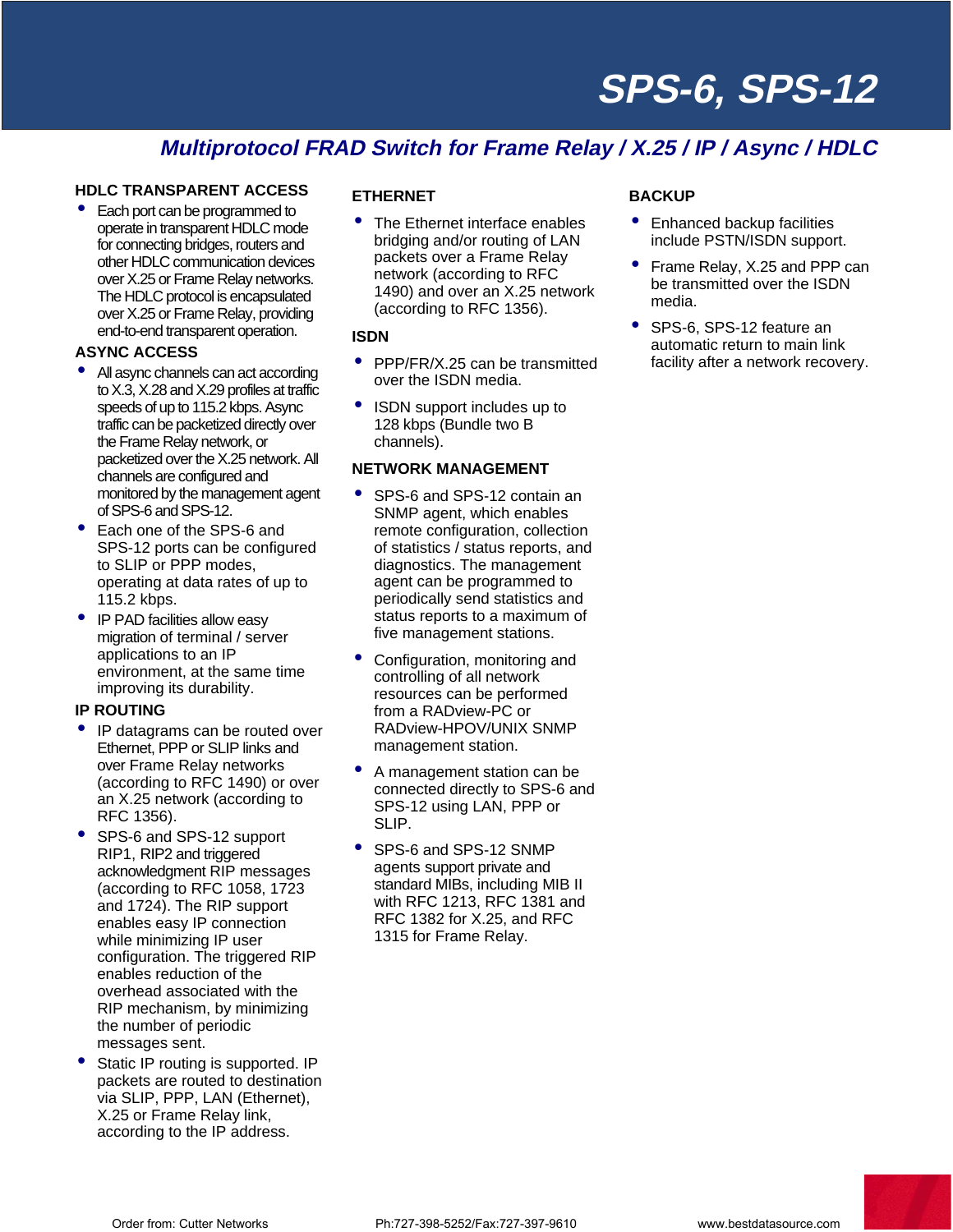# **SPS-6, SPS-12**

# **Multiprotocol FRAD Switch for Frame Relay / X.25 / IP / Async / HDLC**

#### **HDLC TRANSPARENT ACCESS**

• Each port can be programmed to operate in transparent HDLC mode for connecting bridges, routers and other HDLC communication devices over X.25 or Frame Relay networks. The HDLC protocol is encapsulated over X.25 or Frame Relay, providing end-to-end transparent operation.

#### **ASYNC ACCESS**

- All async channels can act according to X.3, X.28 and X.29 profiles at traffic speeds of up to 115.2 kbps. Async traffic can be packetized directly over the Frame Relay network, or packetized over the X.25 network. All channels are configured and monitored by the management agent of SPS-6 and SPS-12.
- Each one of the SPS-6 and SPS-12 ports can be configured to SLIP or PPP modes, operating at data rates of up to 115.2 kbps.
- IP PAD facilities allow easy migration of terminal / server applications to an IP environment, at the same time improving its durability.

#### **IP ROUTING**

- IP datagrams can be routed over Ethernet, PPP or SLIP links and over Frame Relay networks (according to RFC 1490) or over an X.25 network (according to RFC 1356).
- SPS-6 and SPS-12 support RIP1, RIP2 and triggered acknowledgment RIP messages (according to RFC 1058, 1723 and 1724). The RIP support enables easy IP connection while minimizing IP user configuration. The triggered RIP enables reduction of the overhead associated with the RIP mechanism, by minimizing the number of periodic messages sent.
- Static IP routing is supported. IP packets are routed to destination via SLIP, PPP, LAN (Ethernet), X.25 or Frame Relay link, according to the IP address.

#### **ETHERNET**

• The Ethernet interface enables bridging and/or routing of LAN packets over a Frame Relay network (according to RFC 1490) and over an X.25 network (according to RFC 1356).

#### **ISDN**

- PPP/FR/X.25 can be transmitted over the ISDN media.
- ISDN support includes up to 128 kbps (Bundle two B channels).

#### **NETWORK MANAGEMENT**

- SPS-6 and SPS-12 contain an SNMP agent, which enables remote configuration, collection of statistics / status reports, and diagnostics. The management agent can be programmed to periodically send statistics and status reports to a maximum of five management stations.
- Configuration, monitoring and controlling of all network resources can be performed from a RADview-PC or RADview-HPOV/UNIX SNMP management station.
- A management station can be connected directly to SPS-6 and SPS-12 using LAN, PPP or SLIP.
- SPS-6 and SPS-12 SNMP agents support private and standard MIBs, including MIB II with RFC 1213, RFC 1381 and RFC 1382 for X.25, and RFC 1315 for Frame Relay.

#### **BACKUP**

- Enhanced backup facilities include PSTN/ISDN support.
- Frame Relay, X.25 and PPP can be transmitted over the ISDN media.
- SPS-6, SPS-12 feature an automatic return to main link facility after a network recovery.